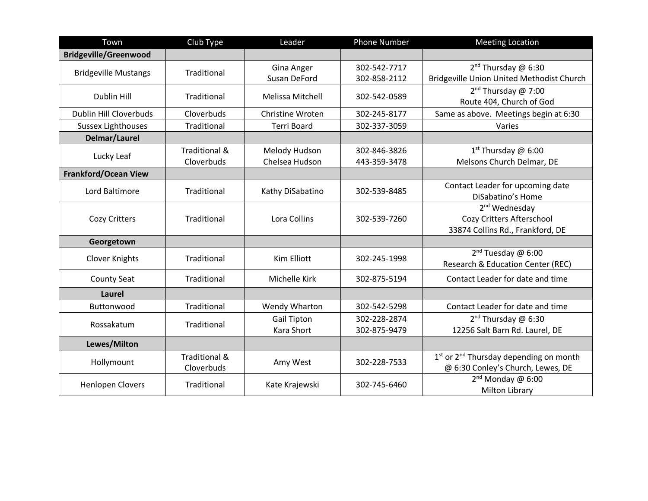| Town                          | Club Type                              | Leader                                  | <b>Phone Number</b>          | <b>Meeting Location</b>                                                                             |
|-------------------------------|----------------------------------------|-----------------------------------------|------------------------------|-----------------------------------------------------------------------------------------------------|
| <b>Bridgeville/Greenwood</b>  |                                        |                                         |                              |                                                                                                     |
| <b>Bridgeville Mustangs</b>   | Traditional                            | Gina Anger<br>Susan DeFord              | 302-542-7717<br>302-858-2112 | $2^{nd}$ Thursday @ 6:30<br>Bridgeville Union United Methodist Church                               |
| <b>Dublin Hill</b>            | Traditional                            | Melissa Mitchell                        | 302-542-0589                 | $2^{nd}$ Thursday @ 7:00<br>Route 404, Church of God                                                |
| <b>Dublin Hill Cloverbuds</b> | Cloverbuds                             | Christine Wroten                        | 302-245-8177                 | Same as above. Meetings begin at 6:30                                                               |
| <b>Sussex Lighthouses</b>     | Traditional                            | <b>Terri Board</b>                      | 302-337-3059                 | Varies                                                                                              |
| Delmar/Laurel                 |                                        |                                         |                              |                                                                                                     |
| Lucky Leaf                    | <b>Traditional &amp;</b><br>Cloverbuds | Melody Hudson<br>Chelsea Hudson         | 302-846-3826<br>443-359-3478 | $1st$ Thursday @ 6:00<br>Melsons Church Delmar, DE                                                  |
| <b>Frankford/Ocean View</b>   |                                        |                                         |                              |                                                                                                     |
| Lord Baltimore                | Traditional                            | Kathy DiSabatino                        | 302-539-8485                 | Contact Leader for upcoming date<br>DiSabatino's Home                                               |
| Cozy Critters                 | Traditional                            | Lora Collins                            | 302-539-7260                 | 2 <sup>nd</sup> Wednesday<br>Cozy Critters Afterschool<br>33874 Collins Rd., Frankford, DE          |
| Georgetown                    |                                        |                                         |                              |                                                                                                     |
| <b>Clover Knights</b>         | Traditional                            | Kim Elliott                             | 302-245-1998                 | 2 <sup>nd</sup> Tuesday @ 6:00<br><b>Research &amp; Education Center (REC)</b>                      |
| <b>County Seat</b>            | Traditional                            | Michelle Kirk                           | 302-875-5194                 | Contact Leader for date and time                                                                    |
| <b>Laurel</b>                 |                                        |                                         |                              |                                                                                                     |
| Buttonwood                    | Traditional                            | Wendy Wharton                           | 302-542-5298                 | Contact Leader for date and time                                                                    |
| Rossakatum                    | Traditional                            | <b>Gail Tipton</b><br><b>Kara Short</b> | 302-228-2874<br>302-875-9479 | $2^{nd}$ Thursday @ 6:30<br>12256 Salt Barn Rd. Laurel, DE                                          |
| Lewes/Milton                  |                                        |                                         |                              |                                                                                                     |
| Hollymount                    | <b>Traditional &amp;</b><br>Cloverbuds | Amy West                                | 302-228-7533                 | 1 <sup>st</sup> or 2 <sup>nd</sup> Thursday depending on month<br>@ 6:30 Conley's Church, Lewes, DE |
| <b>Henlopen Clovers</b>       | Traditional                            | Kate Krajewski                          | 302-745-6460                 | $2^{nd}$ Monday @ 6:00<br><b>Milton Library</b>                                                     |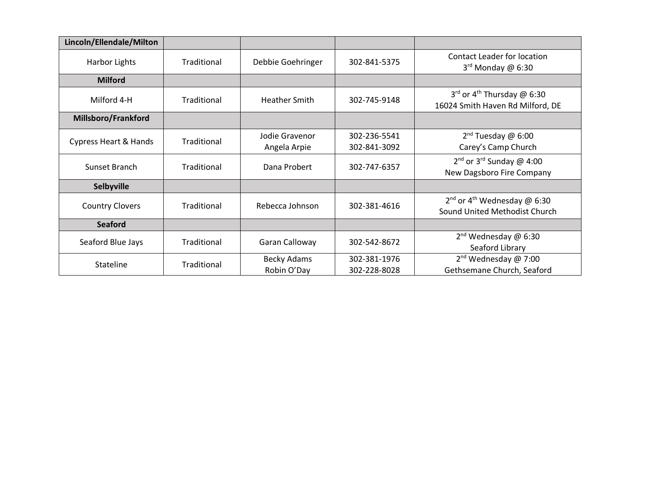| Lincoln/Ellendale/Milton         |             |                                   |                              |                                                                               |
|----------------------------------|-------------|-----------------------------------|------------------------------|-------------------------------------------------------------------------------|
| Harbor Lights                    | Traditional | Debbie Goehringer                 | 302-841-5375                 | Contact Leader for location<br>$3rd$ Monday @ 6:30                            |
| <b>Milford</b>                   |             |                                   |                              |                                                                               |
| Milford 4-H                      | Traditional | <b>Heather Smith</b>              | 302-745-9148                 | 3rd or 4 <sup>th</sup> Thursday @ 6:30<br>16024 Smith Haven Rd Milford, DE    |
| Millsboro/Frankford              |             |                                   |                              |                                                                               |
| <b>Cypress Heart &amp; Hands</b> | Traditional | Jodie Gravenor<br>Angela Arpie    | 302-236-5541<br>302-841-3092 | $2nd$ Tuesday @ 6:00<br>Carey's Camp Church                                   |
| Sunset Branch                    | Traditional | Dana Probert                      | 302-747-6357                 | 2 <sup>nd</sup> or 3 <sup>rd</sup> Sunday @ 4:00<br>New Dagsboro Fire Company |
| Selbyville                       |             |                                   |                              |                                                                               |
| <b>Country Clovers</b>           | Traditional | Rebecca Johnson                   | 302-381-4616                 | $2^{nd}$ or 4 <sup>th</sup> Wednesday @ 6:30<br>Sound United Methodist Church |
| <b>Seaford</b>                   |             |                                   |                              |                                                                               |
| Seaford Blue Jays                | Traditional | Garan Calloway                    | 302-542-8672                 | $2^{nd}$ Wednesday @ 6:30<br>Seaford Library                                  |
| <b>Stateline</b>                 | Traditional | <b>Becky Adams</b><br>Robin O'Day | 302-381-1976<br>302-228-8028 | $2nd$ Wednesday @ 7:00<br>Gethsemane Church, Seaford                          |